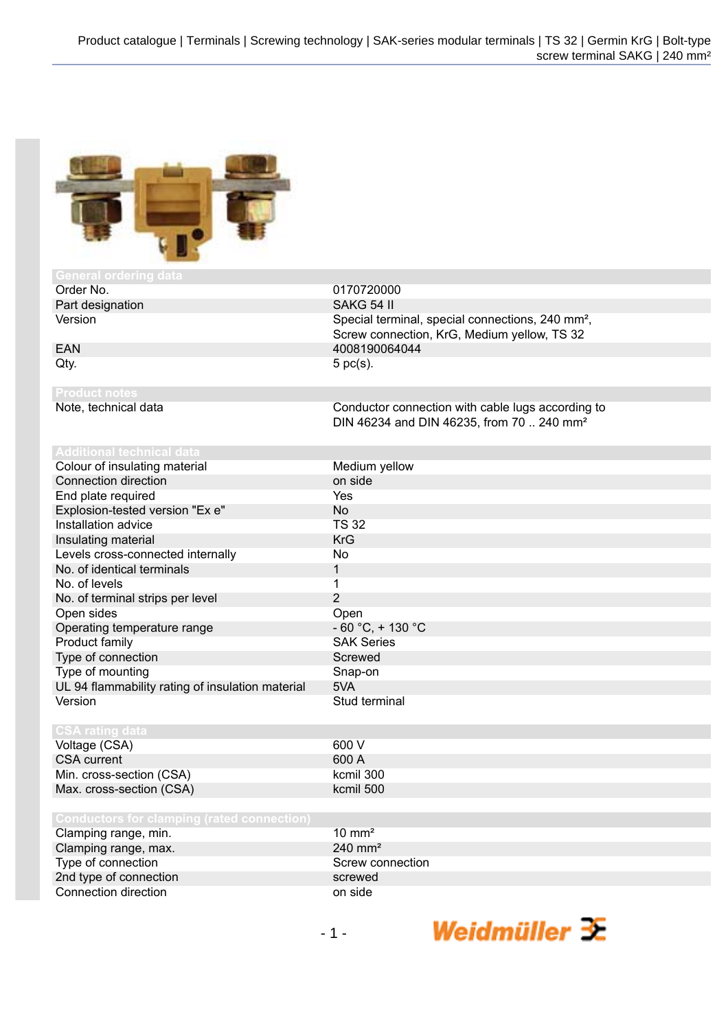0170720000

 $-60 °C$ , + 130 °C **SAK Series** Screwed Snap-on

Screw connection, KrG, Medium yellow, TS 32

DIN 46234 and DIN 46235, from 70 .. 240 mm<sup>2</sup>

Version Special terminal, special connections, 240 mm²,



| <b>General ordering data</b> |            |
|------------------------------|------------|
| Order No.                    | 017072000  |
| Part designation             | SAKG 54 II |

EAN 4008190064044  $Qty.$  5 pc(s).

Note, technical data Conductor connection with cable lugs according to

Colour of insulating material Medium yellow

| Connection direction                             | on side       |
|--------------------------------------------------|---------------|
| End plate required                               | Yes           |
| Explosion-tested version "Ex e"                  | No            |
| Installation advice                              | <b>TS 32</b>  |
| Insulating material                              | <b>KrG</b>    |
| Levels cross-connected internally                | No            |
| No. of identical terminals                       | 1             |
| No. of levels                                    | 1             |
| No. of terminal strips per level                 | 2             |
| Open sides                                       | Open          |
| Operating temperature range                      | $-60 °C,$     |
| Product family                                   | <b>SAK Se</b> |
| Type of connection                               | <b>Screwe</b> |
| Type of mounting                                 | Snap-or       |
| UL 94 flammability rating of insulation material | 5VA           |

Voltage (CSA) 600 V<br>CSA current 600 A CSA current 600 A<br>
Min. cross-section (CSA) 600 A<br>
kcmil 300 Min. cross-section (CSA) Max. cross-section (CSA) kcmil 500

Version Stud terminal

| Clamping range, min.   | $10 \text{ mm}^2$  |
|------------------------|--------------------|
| Clamping range, max.   | $240 \text{ mm}^2$ |
| Type of connection     | Screw connection   |
| 2nd type of connection | screwed            |
| Connection direction   | on side            |

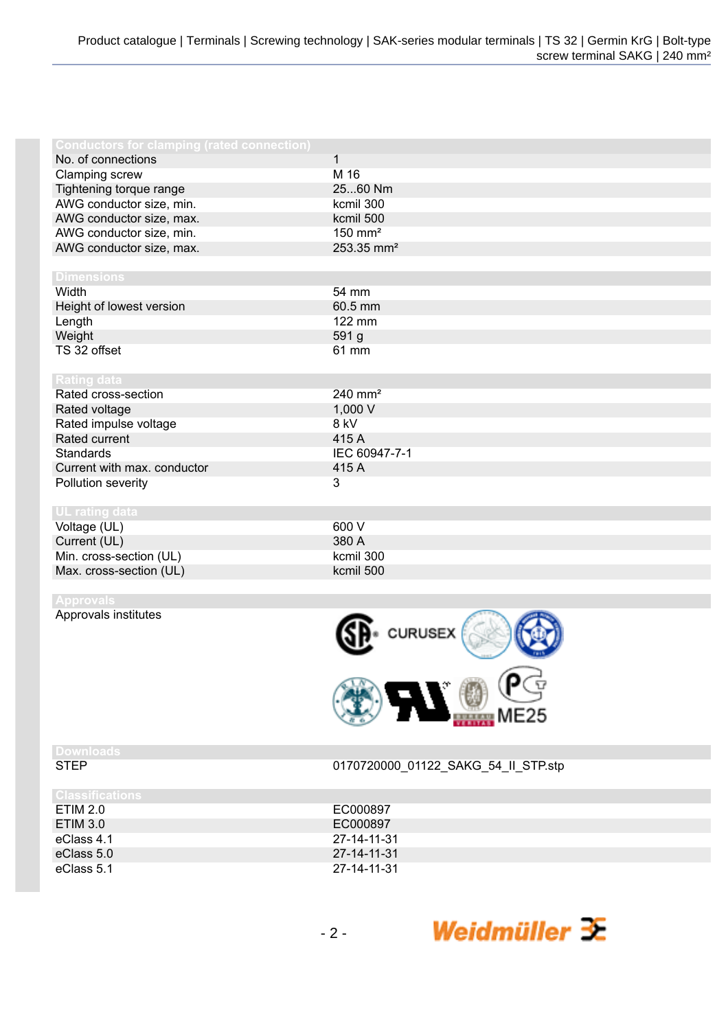| <b>Conductors for clamping (rated connection)</b> |                        |
|---------------------------------------------------|------------------------|
| No. of connections                                | $\mathbf{1}$           |
| Clamping screw                                    | M 16                   |
| Tightening torque range                           | 2560 Nm                |
| AWG conductor size, min.                          | kcmil 300              |
| AWG conductor size, max.                          | kcmil 500              |
| AWG conductor size, min.                          | $150$ mm <sup>2</sup>  |
| AWG conductor size, max.                          | 253.35 mm <sup>2</sup> |
|                                                   |                        |
| <b>Dimensions</b>                                 |                        |
| Width                                             | 54 mm                  |
| Height of lowest version                          | 60.5 mm                |
| Length                                            | 122 mm                 |
| Weight                                            | 591 g                  |
| TS 32 offset                                      | 61 mm                  |
|                                                   |                        |
| Rating data                                       |                        |
| Rated cross-section                               | 240 mm <sup>2</sup>    |
| Rated voltage                                     | 1,000 V                |
| Rated impulse voltage                             | 8 kV                   |
| Rated current                                     | 415 A                  |
| Standards                                         | IEC 60947-7-1          |
| Current with max. conductor                       | 415 A                  |
| Pollution severity                                | 3                      |
|                                                   |                        |
| <b>UL</b> rating data                             |                        |
| Voltage (UL)                                      | 600 V                  |
| Current (UL)                                      | 380 A                  |
| Min. cross-section (UL)                           | kcmil 300              |
| Max. cross-section (UL)                           | kcmil 500              |
|                                                   |                        |

Approvals institutes



# **Downloads**

0170720000\_01122\_SAKG\_54\_II\_STP.stp

| <b>Classifications</b> |             |
|------------------------|-------------|
| ETIM 2.0               | EC000897    |
| ETIM 3.0               | EC000897    |
| eClass 4.1             | 27-14-11-31 |
| eClass 5.0             | 27-14-11-31 |
| eClass 5.1             | 27-14-11-31 |